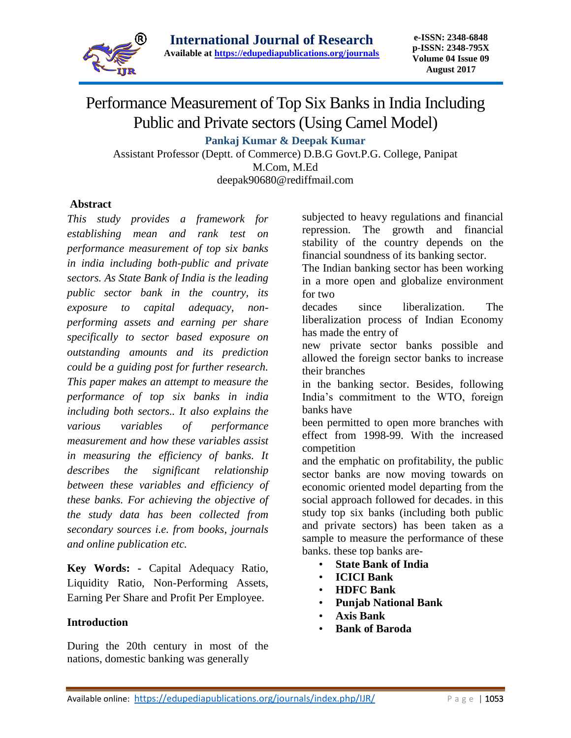

# Performance Measurement of Top Six Banks in India Including Public and Private sectors (Using Camel Model)

**Pankaj Kumar & Deepak Kumar**

Assistant Professor (Deptt. of Commerce) D.B.G Govt.P.G. College, Panipat M.Com, M.Ed

deepak90680@rediffmail.com

## **Abstract**

*This study provides a framework for establishing mean and rank test on performance measurement of top six banks in india including both-public and private sectors. As State Bank of India is the leading public sector bank in the country, its exposure to capital adequacy, nonperforming assets and earning per share specifically to sector based exposure on outstanding amounts and its prediction could be a guiding post for further research. This paper makes an attempt to measure the performance of top six banks in india including both sectors.. It also explains the various variables of performance measurement and how these variables assist in measuring the efficiency of banks. It describes the significant relationship between these variables and efficiency of these banks. For achieving the objective of the study data has been collected from secondary sources i.e. from books, journals and online publication etc.*

**Key Words: -** Capital Adequacy Ratio, Liquidity Ratio, Non-Performing Assets, Earning Per Share and Profit Per Employee.

#### **Introduction**

During the 20th century in most of the nations, domestic banking was generally

subjected to heavy regulations and financial repression. The growth and financial stability of the country depends on the financial soundness of its banking sector.

The Indian banking sector has been working in a more open and globalize environment for two

decades since liberalization. The liberalization process of Indian Economy has made the entry of

new private sector banks possible and allowed the foreign sector banks to increase their branches

in the banking sector. Besides, following India's commitment to the WTO, foreign banks have

been permitted to open more branches with effect from 1998-99. With the increased competition

and the emphatic on profitability, the public sector banks are now moving towards on economic oriented model departing from the social approach followed for decades. in this study top six banks (including both public and private sectors) has been taken as a sample to measure the performance of these banks. these top banks are-

- **State Bank of India**
- **ICICI Bank**
- **HDFC Bank**
- **Punjab National Bank**
- **Axis Bank**
- **Bank of Baroda**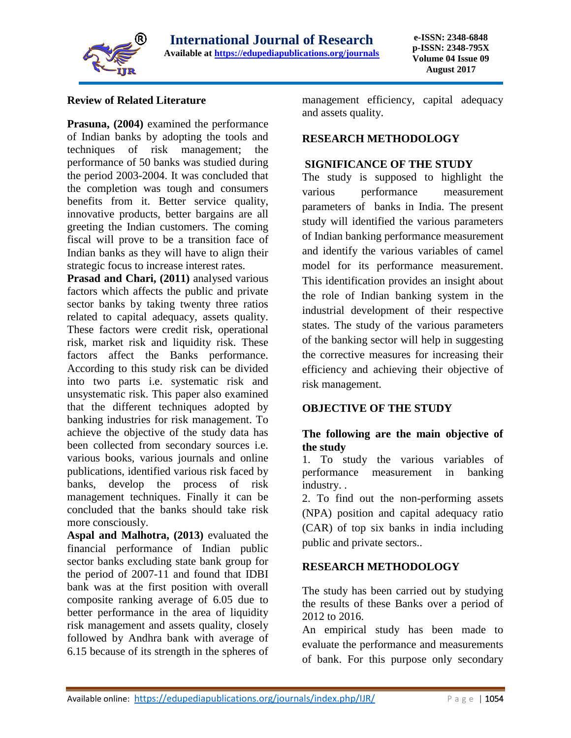

#### **Review of Related Literature**

**Prasuna, (2004)** examined the performance of Indian banks by adopting the tools and techniques of risk management; the performance of 50 banks was studied during the period 2003-2004. It was concluded that the completion was tough and consumers benefits from it. Better service quality, innovative products, better bargains are all greeting the Indian customers. The coming fiscal will prove to be a transition face of Indian banks as they will have to align their strategic focus to increase interest rates.

Prasad and Chari, (2011) analysed various factors which affects the public and private sector banks by taking twenty three ratios related to capital adequacy, assets quality. These factors were credit risk, operational risk, market risk and liquidity risk. These factors affect the Banks performance. According to this study risk can be divided into two parts i.e. systematic risk and unsystematic risk. This paper also examined that the different techniques adopted by banking industries for risk management. To achieve the objective of the study data has been collected from secondary sources i.e. various books, various journals and online publications, identified various risk faced by banks, develop the process of risk management techniques. Finally it can be concluded that the banks should take risk more consciously.

**Aspal and Malhotra, (2013)** evaluated the financial performance of Indian public sector banks excluding state bank group for the period of 2007-11 and found that IDBI bank was at the first position with overall composite ranking average of 6.05 due to better performance in the area of liquidity risk management and assets quality, closely followed by Andhra bank with average of 6.15 because of its strength in the spheres of

management efficiency, capital adequacy and assets quality.

#### **RESEARCH METHODOLOGY**

#### **SIGNIFICANCE OF THE STUDY**

The study is supposed to highlight the various performance measurement parameters of banks in India. The present study will identified the various parameters of Indian banking performance measurement and identify the various variables of camel model for its performance measurement. This identification provides an insight about the role of Indian banking system in the industrial development of their respective states. The study of the various parameters of the banking sector will help in suggesting the corrective measures for increasing their efficiency and achieving their objective of risk management.

#### **OBJECTIVE OF THE STUDY**

## **The following are the main objective of the study**

1. To study the various variables of performance measurement in banking industry. .

2. To find out the non-performing assets (NPA) position and capital adequacy ratio (CAR) of top six banks in india including public and private sectors..

#### **RESEARCH METHODOLOGY**

The study has been carried out by studying the results of these Banks over a period of 2012 to 2016.

An empirical study has been made to evaluate the performance and measurements of bank. For this purpose only secondary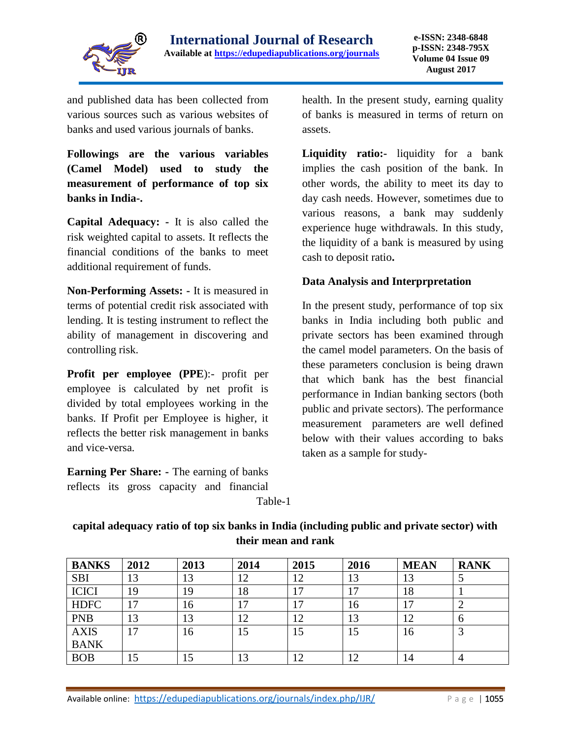

and published data has been collected from various sources such as various websites of banks and used various journals of banks.

**Followings are the various variables (Camel Model) used to study the measurement of performance of top six banks in India-.** 

**Capital Adequacy: -** It is also called the risk weighted capital to assets. It reflects the financial conditions of the banks to meet additional requirement of funds.

**Non-Performing Assets: -** It is measured in terms of potential credit risk associated with lending. It is testing instrument to reflect the ability of management in discovering and controlling risk.

**Profit per employee (PPE**):- profit per employee is calculated by net profit is divided by total employees working in the banks. If Profit per Employee is higher, it reflects the better risk management in banks and vice-versa.

**Earning Per Share: -** The earning of banks reflects its gross capacity and financial health. In the present study, earning quality of banks is measured in terms of return on assets.

**Liquidity ratio:-** liquidity for a bank implies the cash position of the bank. In other words, the ability to meet its day to day cash needs. However, sometimes due to various reasons, a bank may suddenly experience huge withdrawals. In this study, the liquidity of a bank is measured by using cash to deposit ratio**.**

## **Data Analysis and Interprpretation**

In the present study, performance of top six banks in India including both public and private sectors has been examined through the camel model parameters. On the basis of these parameters conclusion is being drawn that which bank has the best financial performance in Indian banking sectors (both public and private sectors). The performance measurement parameters are well defined below with their values according to baks taken as a sample for study-

Table-1

| <b>BANKS</b> | 2012 | 2013 | 2014 | 2015 | 2016                           | <b>MEAN</b> | <b>RANK</b>    |
|--------------|------|------|------|------|--------------------------------|-------------|----------------|
| <b>SBI</b>   | 13   | 13   | 12   | 12   | 13                             | 13          |                |
| <b>ICICI</b> | 19   | 19   | 18   | 7    | 17                             | 18          |                |
| <b>HDFC</b>  | 17   | 16   | 17   |      | 16                             | 17          | ∠              |
| <b>PNB</b>   | 13   | 13   | 12   | 12   | 13                             | 12          | $\sigma$       |
| <b>AXIS</b>  | 17   | 16   | 15   | 15   | 15                             | 16          |                |
| <b>BANK</b>  |      |      |      |      |                                |             |                |
| <b>BOB</b>   | 15   | 15   | 13   | ി    | $\overline{\phantom{a}}$<br>⊥∠ | 14          | $\overline{4}$ |

**capital adequacy ratio of top six banks in India (including public and private sector) with their mean and rank**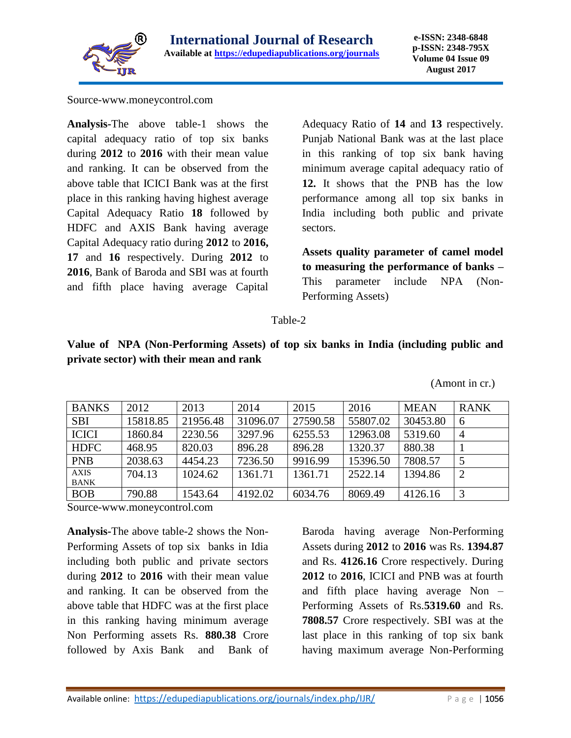

Source-www.moneycontrol.com

**Analysis-**The above table-1 shows the capital adequacy ratio of top six banks during **2012** to **2016** with their mean value and ranking. It can be observed from the above table that ICICI Bank was at the first place in this ranking having highest average Capital Adequacy Ratio **18** followed by HDFC and AXIS Bank having average Capital Adequacy ratio during **2012** to **2016, 17** and **16** respectively. During **2012** to **2016**, Bank of Baroda and SBI was at fourth and fifth place having average Capital

Adequacy Ratio of **14** and **13** respectively. Punjab National Bank was at the last place in this ranking of top six bank having minimum average capital adequacy ratio of **12.** It shows that the PNB has the low performance among all top six banks in India including both public and private sectors.

**Assets quality parameter of camel model to measuring the performance of banks –** This parameter include NPA (Non-Performing Assets)

#### Table-2

**Value of NPA (Non-Performing Assets) of top six banks in India (including public and private sector) with their mean and rank**

(Amont in cr.)

| <b>BANKS</b>               | 2012     | 2013     | 2014     | 2015     | 2016     | <b>MEAN</b> | <b>RANK</b>    |
|----------------------------|----------|----------|----------|----------|----------|-------------|----------------|
| <b>SBI</b>                 | 15818.85 | 21956.48 | 31096.07 | 27590.58 | 55807.02 | 30453.80    | 6              |
| <b>ICICI</b>               | 1860.84  | 2230.56  | 3297.96  | 6255.53  | 12963.08 | 5319.60     | $\overline{4}$ |
| <b>HDFC</b>                | 468.95   | 820.03   | 896.28   | 896.28   | 1320.37  | 880.38      |                |
| <b>PNB</b>                 | 2038.63  | 4454.23  | 7236.50  | 9916.99  | 15396.50 | 7808.57     |                |
| <b>AXIS</b><br><b>BANK</b> | 704.13   | 1024.62  | 1361.71  | 1361.71  | 2522.14  | 1394.86     | $\overline{2}$ |
| <b>BOB</b>                 | 790.88   | 1543.64  | 4192.02  | 6034.76  | 8069.49  | 4126.16     |                |

Source-www.moneycontrol.com

**Analysis-**The above table-2 shows the Non-Performing Assets of top six banks in Idia including both public and private sectors during **2012** to **2016** with their mean value and ranking. It can be observed from the above table that HDFC was at the first place in this ranking having minimum average Non Performing assets Rs. **880.38** Crore followed by Axis Bank and Bank of

Baroda having average Non-Performing Assets during **2012** to **2016** was Rs. **1394.87**  and Rs. **4126.16** Crore respectively. During **2012** to **2016**, ICICI and PNB was at fourth and fifth place having average Non – Performing Assets of Rs.**5319.60** and Rs. **7808.57** Crore respectively. SBI was at the last place in this ranking of top six bank having maximum average Non-Performing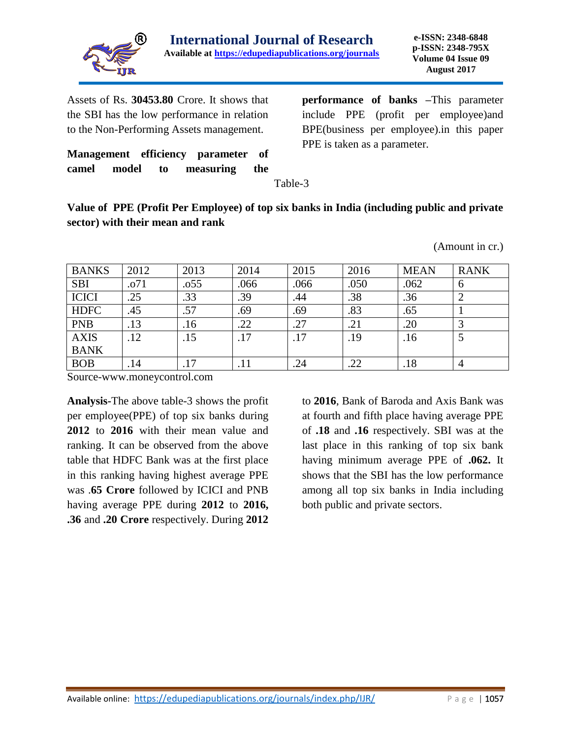

(Amount in cr.)

Assets of Rs. **30453.80** Crore. It shows that the SBI has the low performance in relation to the Non-Performing Assets management.

**Management efficiency parameter of camel model to measuring the** 

**performance of banks –**This parameter include PPE (profit per employee)and BPE(business per employee).in this paper PPE is taken as a parameter.

Table-3

**Value of PPE (Profit Per Employee) of top six banks in India (including public and private sector) with their mean and rank**

| <b>BANKS</b> | 2012 | 2013 | 2014 | 2015 | 2016 | <b>MEAN</b> | <b>RANK</b>  |
|--------------|------|------|------|------|------|-------------|--------------|
| <b>SBI</b>   | .071 | .055 | .066 | .066 | .050 | .062        | <sub>0</sub> |
| <b>ICICI</b> | .25  | .33  | .39  | .44  | .38  | .36         |              |
| <b>HDFC</b>  | .45  | .57  | .69  | .69  | .83  | .65         |              |
| <b>PNB</b>   | .13  | .16  | .22  | .27  | .21  | .20         |              |
| <b>AXIS</b>  | .12  | .15  | .17  | .17  | .19  | .16         |              |
| <b>BANK</b>  |      |      |      |      |      |             |              |
| <b>BOB</b>   | .14  |      | .11  | .24  | .22  | .18         |              |

Source-www.moneycontrol.com

**Analysis-**The above table-3 shows the profit per employee(PPE) of top six banks during **2012** to **2016** with their mean value and ranking. It can be observed from the above table that HDFC Bank was at the first place in this ranking having highest average PPE was .**65 Crore** followed by ICICI and PNB having average PPE during **2012** to **2016, .36** and **.20 Crore** respectively. During **2012** 

to **2016**, Bank of Baroda and Axis Bank was at fourth and fifth place having average PPE of **.18** and **.16** respectively. SBI was at the last place in this ranking of top six bank having minimum average PPE of **.062.** It shows that the SBI has the low performance among all top six banks in India including both public and private sectors.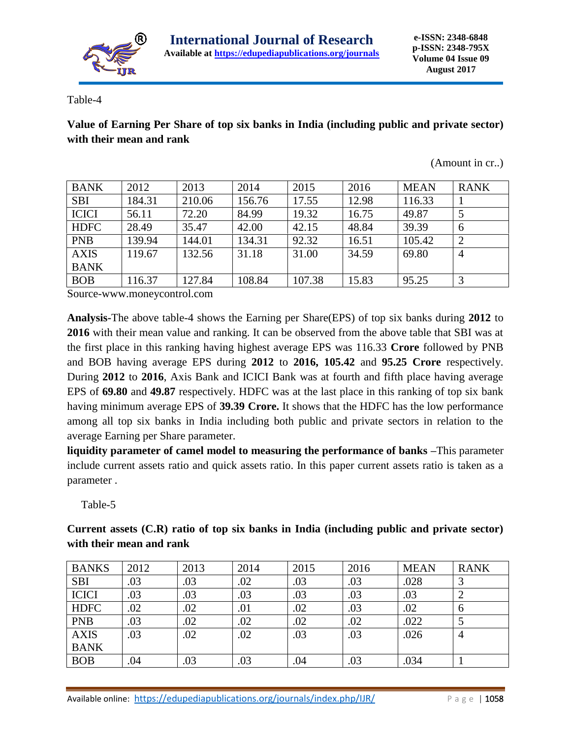

Table-4

**Value of Earning Per Share of top six banks in India (including public and private sector) with their mean and rank**

(Amount in cr..)

| <b>BANK</b>  | 2012   | 2013   | 2014   | 2015   | 2016  | <b>MEAN</b> | <b>RANK</b>    |
|--------------|--------|--------|--------|--------|-------|-------------|----------------|
| <b>SBI</b>   | 184.31 | 210.06 | 156.76 | 17.55  | 12.98 | 116.33      |                |
| <b>ICICI</b> | 56.11  | 72.20  | 84.99  | 19.32  | 16.75 | 49.87       |                |
| <b>HDFC</b>  | 28.49  | 35.47  | 42.00  | 42.15  | 48.84 | 39.39       | 6              |
| <b>PNB</b>   | 139.94 | 144.01 | 134.31 | 92.32  | 16.51 | 105.42      | $\overline{2}$ |
| <b>AXIS</b>  | 119.67 | 132.56 | 31.18  | 31.00  | 34.59 | 69.80       | $\overline{4}$ |
| <b>BANK</b>  |        |        |        |        |       |             |                |
| <b>BOB</b>   | 116.37 | 127.84 | 108.84 | 107.38 | 15.83 | 95.25       |                |

Source-www.moneycontrol.com

**Analysis-**The above table-4 shows the Earning per Share(EPS) of top six banks during **2012** to **2016** with their mean value and ranking. It can be observed from the above table that SBI was at the first place in this ranking having highest average EPS was 116.33 **Crore** followed by PNB and BOB having average EPS during **2012** to **2016, 105.42** and **95.25 Crore** respectively. During **2012** to **2016**, Axis Bank and ICICI Bank was at fourth and fifth place having average EPS of **69.80** and **49.87** respectively. HDFC was at the last place in this ranking of top six bank having minimum average EPS of **39.39 Crore.** It shows that the HDFC has the low performance among all top six banks in India including both public and private sectors in relation to the average Earning per Share parameter.

**liquidity parameter of camel model to measuring the performance of banks –**This parameter include current assets ratio and quick assets ratio. In this paper current assets ratio is taken as a parameter .

Table-5

**Current assets (C.R) ratio of top six banks in India (including public and private sector) with their mean and rank**

| <b>BANKS</b> | 2012 | 2013 | 2014 | 2015 | 2016 | <b>MEAN</b> | <b>RANK</b>   |
|--------------|------|------|------|------|------|-------------|---------------|
| <b>SBI</b>   | .03  | .03  | .02  | .03  | .03  | .028        | C             |
| <b>ICICI</b> | .03  | .03  | .03  | .03  | .03  | .03         |               |
| <b>HDFC</b>  | .02  | .02  | .01  | .02  | .03  | .02         | $\mathfrak b$ |
| <b>PNB</b>   | .03  | .02  | .02  | .02  | .02  | .022        |               |
| <b>AXIS</b>  | .03  | .02  | .02  | .03  | .03  | .026        | 4             |
| <b>BANK</b>  |      |      |      |      |      |             |               |
| <b>BOB</b>   | .04  | .03  | .03  | .04  | .03  | .034        |               |